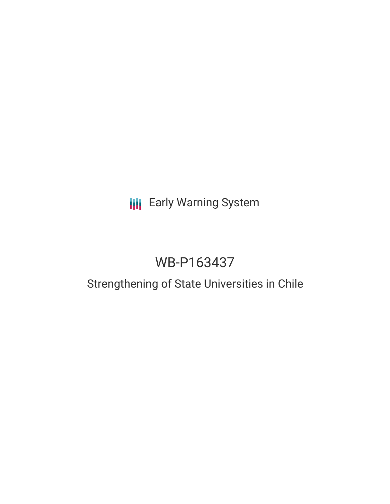## **III** Early Warning System

# WB-P163437

## Strengthening of State Universities in Chile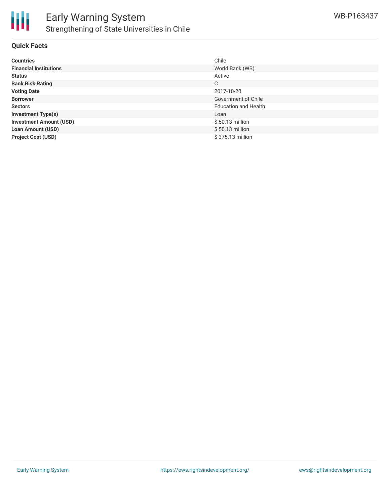

### **Quick Facts**

| <b>Countries</b>               | Chile                       |
|--------------------------------|-----------------------------|
| <b>Financial Institutions</b>  | World Bank (WB)             |
| <b>Status</b>                  | Active                      |
| <b>Bank Risk Rating</b>        | C                           |
| <b>Voting Date</b>             | 2017-10-20                  |
| <b>Borrower</b>                | Government of Chile         |
| <b>Sectors</b>                 | <b>Education and Health</b> |
| <b>Investment Type(s)</b>      | Loan                        |
| <b>Investment Amount (USD)</b> | $$50.13$ million            |
| <b>Loan Amount (USD)</b>       | $$50.13$ million            |
| <b>Project Cost (USD)</b>      | \$375.13 million            |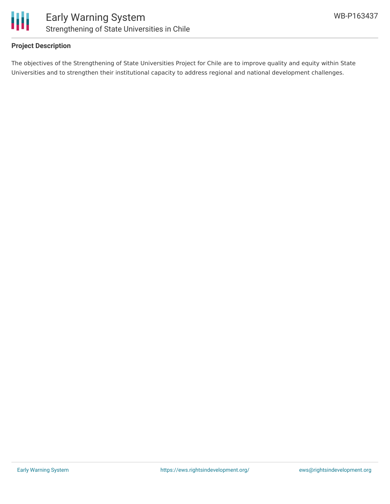

### **Project Description**

The objectives of the Strengthening of State Universities Project for Chile are to improve quality and equity within State Universities and to strengthen their institutional capacity to address regional and national development challenges.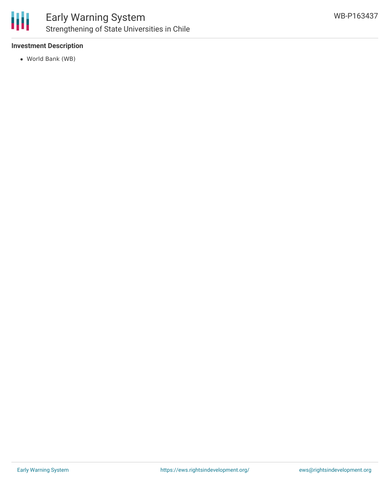

### Early Warning System Strengthening of State Universities in Chile

### **Investment Description**

World Bank (WB)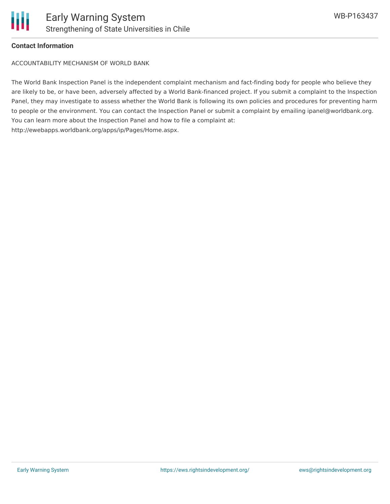

#### **Contact Information**

ACCOUNTABILITY MECHANISM OF WORLD BANK

The World Bank Inspection Panel is the independent complaint mechanism and fact-finding body for people who believe they are likely to be, or have been, adversely affected by a World Bank-financed project. If you submit a complaint to the Inspection Panel, they may investigate to assess whether the World Bank is following its own policies and procedures for preventing harm to people or the environment. You can contact the Inspection Panel or submit a complaint by emailing ipanel@worldbank.org. You can learn more about the Inspection Panel and how to file a complaint at: http://ewebapps.worldbank.org/apps/ip/Pages/Home.aspx.